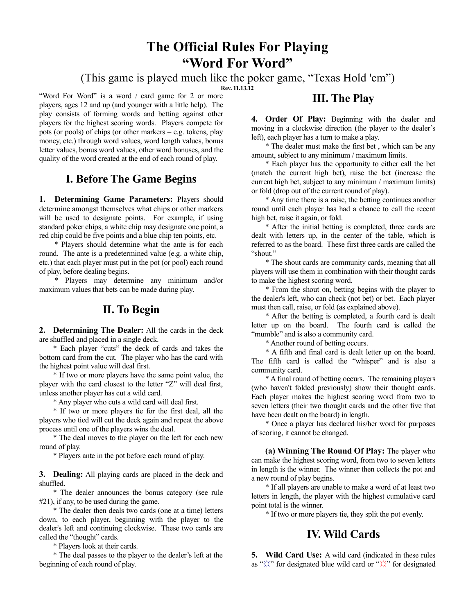# **The Official Rules For Playing "Word For Word"**

(This game is played much like the poker game, "Texas Hold 'em")

**Rev. 11.13.12**

"Word For Word" is a word / card game for 2 or more players, ages 12 and up (and younger with a little help). The play consists of forming words and betting against other players for the highest scoring words. Players compete for pots (or pools) of chips (or other markers – e.g. tokens, play money, etc.) through word values, word length values, bonus letter values, bonus word values, other word bonuses, and the quality of the word created at the end of each round of play.

## **I. Before The Game Begins**

**1. Determining Game Parameters:** Players should determine amongst themselves what chips or other markers will be used to designate points. For example, if using standard poker chips, a white chip may designate one point, a red chip could be five points and a blue chip ten points, etc.

\* Players should determine what the ante is for each round. The ante is a predetermined value (e.g. a white chip, etc.) that each player must put in the pot (or pool) each round of play, before dealing begins.

\* Players may determine any minimum and/or maximum values that bets can be made during play.

## **II. To Begin**

**2. Determining The Dealer:** All the cards in the deck are shuffled and placed in a single deck.

\* Each player "cuts" the deck of cards and takes the bottom card from the cut. The player who has the card with the highest point value will deal first.

\* If two or more players have the same point value, the player with the card closest to the letter "Z" will deal first, unless another player has cut a wild card.

\* Any player who cuts a wild card will deal first.

\* If two or more players tie for the first deal, all the players who tied will cut the deck again and repeat the above process until one of the players wins the deal.

\* The deal moves to the player on the left for each new round of play.

\* Players ante in the pot before each round of play.

**3. Dealing:** All playing cards are placed in the deck and shuffled.

\* The dealer announces the bonus category (see rule #21), if any, to be used during the game.

\* The dealer then deals two cards (one at a time) letters down, to each player, beginning with the player to the dealer's left and continuing clockwise. These two cards are called the "thought" cards.

\* Players look at their cards.

\* The deal passes to the player to the dealer's left at the beginning of each round of play.

### **III. The Play**

**4. Order Of Play:** Beginning with the dealer and moving in a clockwise direction (the player to the dealer's left), each player has a turn to make a play.

\* The dealer must make the first bet , which can be any amount, subject to any minimum / maximum limits.

\* Each player has the opportunity to either call the bet (match the current high bet), raise the bet (increase the current high bet, subject to any minimum / maximum limits) or fold (drop out of the current round of play).

\* Any time there is a raise, the betting continues another round until each player has had a chance to call the recent high bet, raise it again, or fold.

\* After the initial betting is completed, three cards are dealt with letters up, in the center of the table, which is referred to as the board. These first three cards are called the "shout."

\* The shout cards are community cards, meaning that all players will use them in combination with their thought cards to make the highest scoring word.

\* From the shout on, betting begins with the player to the dealer's left, who can check (not bet) or bet. Each player must then call, raise, or fold (as explained above).

\* After the betting is completed, a fourth card is dealt letter up on the board. The fourth card is called the "mumble" and is also a community card.

\* Another round of betting occurs.

\* A fifth and final card is dealt letter up on the board. The fifth card is called the "whisper" and is also a community card.

\* A final round of betting occurs. The remaining players (who haven't folded previously) show their thought cards. Each player makes the highest scoring word from two to seven letters (their two thought cards and the other five that have been dealt on the board) in length.

\* Once a player has declared his/her word for purposes of scoring, it cannot be changed.

**(a) Winning The Round Of Play:** The player who can make the highest scoring word, from two to seven letters in length is the winner. The winner then collects the pot and a new round of play begins.

\* If all players are unable to make a word of at least two letters in length, the player with the highest cumulative card point total is the winner.

\* If two or more players tie, they split the pot evenly.

## **IV. Wild Cards**

**5. Wild Card Use:** A wild card (indicated in these rules as "**☼**" for designated blue wild card or "☼" for designated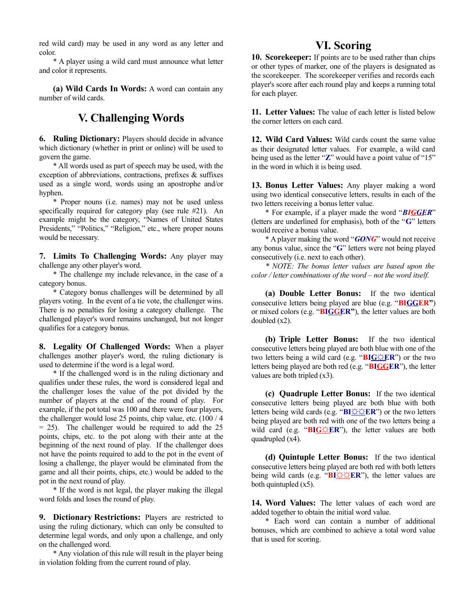red wild card) may be used in any word as any letter and color.

\* A player using a wild card must announce what letter and color it represents.

**(a) Wild Cards In Words:** A word can contain any number of wild cards.

## **V. Challenging Words**

**6. Ruling Dictionary:** Players should decide in advance which dictionary (whether in print or online) will be used to govern the game.

\* All words used as part of speech may be used, with the exception of abbreviations, contractions, prefixes & suffixes used as a single word, words using an apostrophe and/or hyphen.

\* Proper nouns (i.e. names) may not be used unless specifically required for category play (see rule #21). An example might be the category, "Names of United States Presidents," "Politics," "Religion," etc., where proper nouns would be necessary.

**7. Limits To Challenging Words:** Any player may challenge any other player's word.

\* The challenge my include relevance, in the case of a category bonus.

\* Category bonus challenges will be determined by all players voting. In the event of a tie vote, the challenger wins. There is no penalties for losing a category challenge. The challenged player's word remains unchanged, but not longer qualifies for a category bonus.

**8. Legality Of Challenged Words:** When a player challenges another player's word, the ruling dictionary is used to determine if the word is a legal word.

\* If the challenged word is in the ruling dictionary and qualifies under these rules, the word is considered legal and the challenger loses the value of the pot divided by the number of players at the end of the round of play. For example, if the pot total was 100 and there were four players, the challenger would lose 25 points, chip value, etc. (100 / 4  $= 25$ ). The challenger would be required to add the 25 points, chips, etc. to the pot along with their ante at the beginning of the next round of play. If the challenger does not have the points required to add to the pot in the event of losing a challenge, the player would be eliminated from the game and all their points, chips, etc.) would be added to the pot in the next round of play.

\* If the word is not legal, the player making the illegal word folds and loses the round of play.

**9. Dictionary Restrictions:** Players are restricted to using the ruling dictionary, which can only be consulted to determine legal words, and only upon a challenge, and only on the challenged word.

\* Any violation of this rule will result in the player being in violation folding from the current round of play.

#### **VI. Scoring**

**10. Scorekeeper:** If points are to be used rather than chips or other types of marker, one of the players is designated as the scorekeeper. The scorekeeper verifies and records each player's score after each round play and keeps a running total for each player.

**11. Letter Values:** The value of each letter is listed below the corner letters on each card.

**12. Wild Card Values:** Wild cards count the same value as their designated letter values. For example, a wild card being used as the letter "**Z**" would have a point value of "15" in the word in which it is being used.

**13. Bonus Letter Values:** Any player making a word using two identical consecutive letters, results in each of the two letters receiving a bonus letter value.

\* For example, if a player made the word "*BI G GER*" (letters are underlined for emphasis), both of the "**G**" letters would receive a bonus value.

\* A player making the word "*GONG*" would not receive any bonus value, since the "**G**" letters were not being played consecutively (i.e. next to each other).

*\* NOTE: The bonus letter values are based upon the color / letter combinations of the word – not the word itself.*

**(a) Double Letter Bonus:** If the two identical consecutive letters being played are blue (e.g. "**BIGGER"**) or mixed colors (e.g. "**BIGGER**"), the letter values are both doubled (x2).

**(b) Triple Letter Bonus:** If the two identical consecutive letters being played are both blue with one of the two letters being a wild card (e.g. " $BIG \times ER$ ") or the two letters being played are both red (e.g. "**BIGGER**"), the letter values are both tripled (x3).

**(c) Quadruple Letter Bonus:** If the two identical consecutive letters being played are both blue with both letters being wild cards (e.g. "**BI**☼☼**ER**") or the two letters being played are both red with one of the two letters being a wild card (e.g. "BIG $\triangle$ ER"), the letter values are both quadrupled (x4).

**(d) Quintuple Letter Bonus:** If the two identical consecutive letters being played are both red with both letters being wild cards (e.g. "**BI**☼☼**ER**"), the letter values are both quintupled (x5).

**14. Word Values:** The letter values of each word are added together to obtain the initial word value.

\* Each word can contain a number of additional bonuses, which are combined to achieve a total word value that is used for scoring.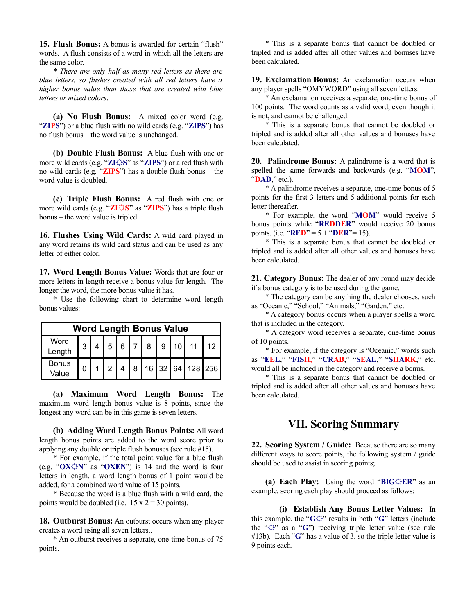**15. Flush Bonus:** A bonus is awarded for certain "flush" words. A flush consists of a word in which all the letters are the same color.

*\* There are only half as many red letters as there are blue letters, so flushes created with all red letters have a higher bonus value than those that are created with blue letters or mixed colors*.

**(a) No Flush Bonus:** A mixed color word (e.g. "**ZIPS**") or a blue flush with no wild cards (e.g. "**ZIPS**") has no flush bonus – the word value is unchanged.

**(b) Double Flush Bonus:** A blue flush with one or more wild cards (e.g. "**ZI**☼**S**" as "**ZIPS**") or a red flush with no wild cards (e.g. "**ZIPS**") has a double flush bonus – the word value is doubled.

**(c) Triple Flush Bonus:** A red flush with one or more wild cards (e.g. "**ZI**☼**S**" as "**ZIPS**") has a triple flush bonus – the word value is tripled.

**16. Flushes Using Wild Cards:** A wild card played in any word retains its wild card status and can be used as any letter of either color.

**17. Word Length Bonus Value:** Words that are four or more letters in length receive a bonus value for length. The longer the word, the more bonus value it has.

\* Use the following chart to determine word length bonus values:

| <b>Word Length Bonus Value</b> |  |  |  |  |  |  |  |  |                                            |  |
|--------------------------------|--|--|--|--|--|--|--|--|--------------------------------------------|--|
| Word<br>Length                 |  |  |  |  |  |  |  |  | $3   4   5   6   7   8   9   10   11   12$ |  |
| <b>Bonus</b><br>Value          |  |  |  |  |  |  |  |  | 1 2 4 8 16 32 64 128 256                   |  |

**(a) Maximum Word Length Bonus:** The maximum word length bonus value is 8 points, since the longest any word can be in this game is seven letters.

**(b) Adding Word Length Bonus Points:** All word length bonus points are added to the word score prior to applying any double or triple flush bonuses (see rule #15).

\* For example, if the total point value for a blue flush (e.g. "**OX☼N**" as "**OXEN**") is 14 and the word is four letters in length, a word length bonus of 1 point would be added, for a combined word value of 15 points.

\* Because the word is a blue flush with a wild card, the points would be doubled (i.e.  $15 \times 2 = 30$  points).

**18. Outburst Bonus:** An outburst occurs when any player creates a word using all seven letters..

\* An outburst receives a separate, one-time bonus of 75 points.

\* This is a separate bonus that cannot be doubled or tripled and is added after all other values and bonuses have been calculated.

**19. Exclamation Bonus:** An exclamation occurs when any player spells "OMYWORD" using all seven letters.

\* An exclamation receives a separate, one-time bonus of 100 points. The word counts as a valid word, even though it is not, and cannot be challenged.

\* This is a separate bonus that cannot be doubled or tripled and is added after all other values and bonuses have been calculated.

**20. Palindrome Bonus:** A palindrome is a word that is spelled the same forwards and backwards (e.g. "**MOM**", "**DAD**," etc.).

\* A palindrome receives a separate, one-time bonus of 5 points for the first 3 letters and 5 additional points for each letter thereafter.

\* For example, the word "**MOM**" would receive 5 bonus points while "**REDDER**" would receive 20 bonus points. (i.e. "**RED**" =  $5 +$  "**DER**" = 15).

\* This is a separate bonus that cannot be doubled or tripled and is added after all other values and bonuses have been calculated.

**21. Category Bonus:** The dealer of any round may decide if a bonus category is to be used during the game.

\* The category can be anything the dealer chooses, such as "Oceanic," "School," "Animals," "Garden," etc.

\* A category bonus occurs when a player spells a word that is included in the category.

\* A category word receives a separate, one-time bonus of 10 points.

\* For example, if the category is "Oceanic," words such as "**EEL**," "**FISH**," "**CRAB**," "**SEAL**," "**SHARK**," etc. would all be included in the category and receive a bonus.

\* This is a separate bonus that cannot be doubled or tripled and is added after all other values and bonuses have been calculated.

#### **VII. Scoring Summary**

**22. Scoring System / Guide:** Because there are so many different ways to score points, the following system / guide should be used to assist in scoring points;

**(a) Each Play:** Using the word "**BIG**☼**ER**" as an example, scoring each play should proceed as follows:

**(i) Establish Any Bonus Letter Values:** In this example, the "**G**☼" results in both "**G**" letters (include the "☼" as a "**G**") receiving triple letter value (see rule #13b). Each "**G**" has a value of 3, so the triple letter value is 9 points each.